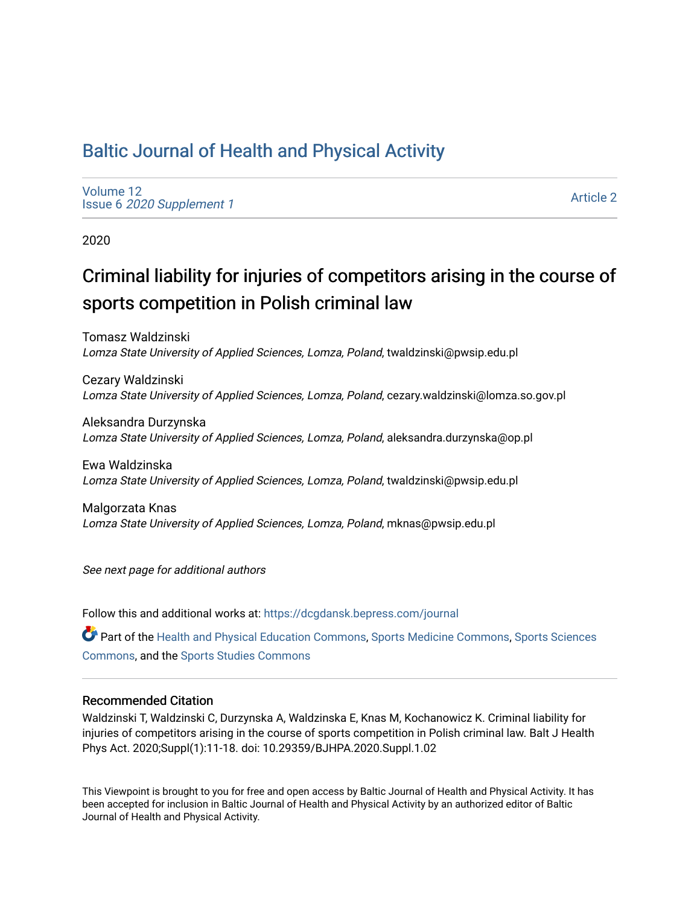## [Baltic Journal of Health and Physical Activity](https://dcgdansk.bepress.com/journal)

[Volume 12](https://dcgdansk.bepress.com/journal/vol12) Issue 6 [2020 Supplement 1](https://dcgdansk.bepress.com/journal/vol12/iss6) 

[Article 2](https://dcgdansk.bepress.com/journal/vol12/iss6/2) 

2020

# Criminal liability for injuries of competitors arising in the course of sports competition in Polish criminal law

Tomasz Waldzinski Lomza State University of Applied Sciences, Lomza, Poland, twaldzinski@pwsip.edu.pl

Cezary Waldzinski Lomza State University of Applied Sciences, Lomza, Poland, cezary.waldzinski@lomza.so.gov.pl

Aleksandra Durzynska Lomza State University of Applied Sciences, Lomza, Poland, aleksandra.durzynska@op.pl

Ewa Waldzinska Lomza State University of Applied Sciences, Lomza, Poland, twaldzinski@pwsip.edu.pl

Malgorzata Knas Lomza State University of Applied Sciences, Lomza, Poland, mknas@pwsip.edu.pl

See next page for additional authors

Follow this and additional works at: [https://dcgdansk.bepress.com/journal](https://dcgdansk.bepress.com/journal?utm_source=dcgdansk.bepress.com%2Fjournal%2Fvol12%2Fiss6%2F2&utm_medium=PDF&utm_campaign=PDFCoverPages)

Part of the [Health and Physical Education Commons](http://network.bepress.com/hgg/discipline/1327?utm_source=dcgdansk.bepress.com%2Fjournal%2Fvol12%2Fiss6%2F2&utm_medium=PDF&utm_campaign=PDFCoverPages), [Sports Medicine Commons,](http://network.bepress.com/hgg/discipline/1331?utm_source=dcgdansk.bepress.com%2Fjournal%2Fvol12%2Fiss6%2F2&utm_medium=PDF&utm_campaign=PDFCoverPages) [Sports Sciences](http://network.bepress.com/hgg/discipline/759?utm_source=dcgdansk.bepress.com%2Fjournal%2Fvol12%2Fiss6%2F2&utm_medium=PDF&utm_campaign=PDFCoverPages) [Commons](http://network.bepress.com/hgg/discipline/759?utm_source=dcgdansk.bepress.com%2Fjournal%2Fvol12%2Fiss6%2F2&utm_medium=PDF&utm_campaign=PDFCoverPages), and the [Sports Studies Commons](http://network.bepress.com/hgg/discipline/1198?utm_source=dcgdansk.bepress.com%2Fjournal%2Fvol12%2Fiss6%2F2&utm_medium=PDF&utm_campaign=PDFCoverPages) 

### Recommended Citation

Waldzinski T, Waldzinski C, Durzynska A, Waldzinska E, Knas M, Kochanowicz K. Criminal liability for injuries of competitors arising in the course of sports competition in Polish criminal law. Balt J Health Phys Act. 2020;Suppl(1):11-18. doi: 10.29359/BJHPA.2020.Suppl.1.02

This Viewpoint is brought to you for free and open access by Baltic Journal of Health and Physical Activity. It has been accepted for inclusion in Baltic Journal of Health and Physical Activity by an authorized editor of Baltic Journal of Health and Physical Activity.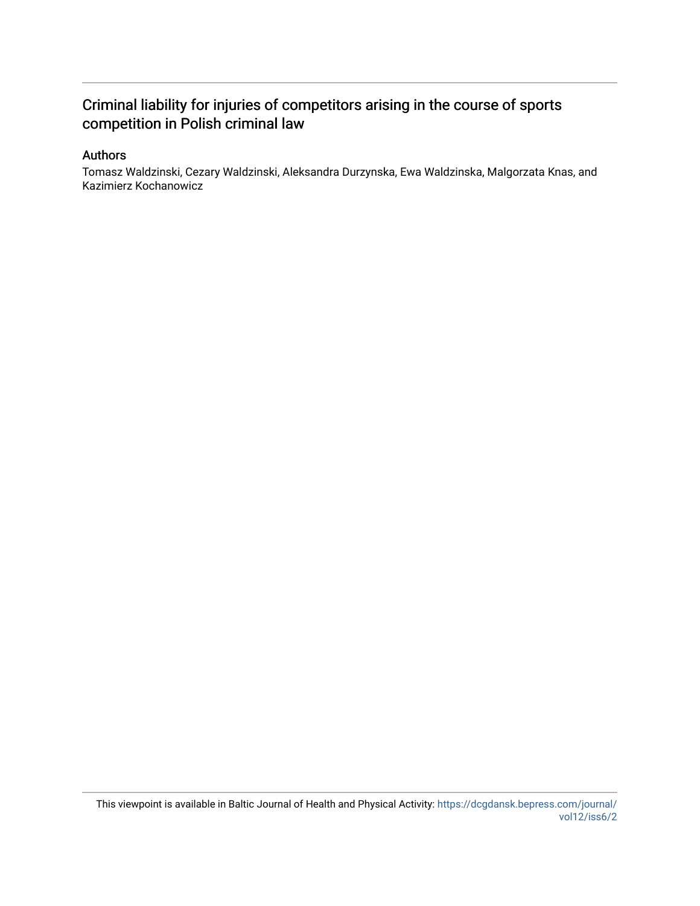## Criminal liability for injuries of competitors arising in the course of sports competition in Polish criminal law

### Authors

Tomasz Waldzinski, Cezary Waldzinski, Aleksandra Durzynska, Ewa Waldzinska, Malgorzata Knas, and Kazimierz Kochanowicz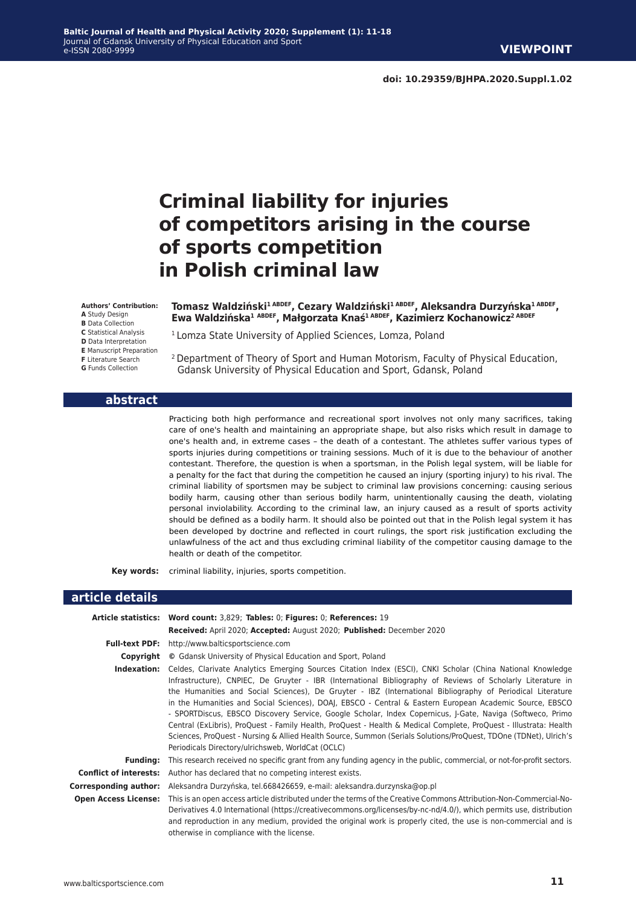# **Criminal liability for injuries of competitors arising in the course of sports competition in Polish criminal law**

#### **Authors' Contribution:**

**A** Study Design

- **B** Data Collection
- **C** Statistical Analysis

**D** Data Interpretation

- **E** Manuscript Preparation
- **F** Literature Search

**G** Funds Collection

#### **abstract**

**Tomasz Waldziński1 ABDEF, Cezary Waldziński1 ABDEF, Aleksandra Durzyńska1 ABDEF, Ewa Waldzińska<sup>1</sup> ABDEF, Małgorzata Knaś1 ABDEF, Kazimierz Kochanowicz2 ABDEF**

<sup>1</sup> Lomza State University of Applied Sciences, Lomza, Poland

2 Department of Theory of Sport and Human Motorism, Faculty of Physical Education, Gdansk University of Physical Education and Sport, Gdansk, Poland

Practicing both high performance and recreational sport involves not only many sacrifices, taking care of one's health and maintaining an appropriate shape, but also risks which result in damage to one's health and, in extreme cases – the death of a contestant. The athletes suffer various types of sports injuries during competitions or training sessions. Much of it is due to the behaviour of another contestant. Therefore, the question is when a sportsman, in the Polish legal system, will be liable for a penalty for the fact that during the competition he caused an injury (sporting injury) to his rival. The criminal liability of sportsmen may be subject to criminal law provisions concerning: causing serious bodily harm, causing other than serious bodily harm, unintentionally causing the death, violating personal inviolability. According to the criminal law, an injury caused as a result of sports activity should be defined as a bodily harm. It should also be pointed out that in the Polish legal system it has been developed by doctrine and reflected in court rulings, the sport risk justification excluding the unlawfulness of the act and thus excluding criminal liability of the competitor causing damage to the health or death of the competitor.

**Key words:** criminal liability, injuries, sports competition.

#### **article details**

|                             | Article statistics: Word count: 3,829; Tables: 0; Figures: 0; References: 19                                                                                                                                                                                                                                                                                                                                                                                                                                                                                                                                                                                                                                                                                                                                                                                  |
|-----------------------------|---------------------------------------------------------------------------------------------------------------------------------------------------------------------------------------------------------------------------------------------------------------------------------------------------------------------------------------------------------------------------------------------------------------------------------------------------------------------------------------------------------------------------------------------------------------------------------------------------------------------------------------------------------------------------------------------------------------------------------------------------------------------------------------------------------------------------------------------------------------|
|                             | Received: April 2020; Accepted: August 2020; Published: December 2020                                                                                                                                                                                                                                                                                                                                                                                                                                                                                                                                                                                                                                                                                                                                                                                         |
| <b>Full-text PDF:</b>       | http://www.balticsportscience.com                                                                                                                                                                                                                                                                                                                                                                                                                                                                                                                                                                                                                                                                                                                                                                                                                             |
| Copyright                   | © Gdansk University of Physical Education and Sport, Poland                                                                                                                                                                                                                                                                                                                                                                                                                                                                                                                                                                                                                                                                                                                                                                                                   |
| Indexation:                 | Celdes, Clarivate Analytics Emerging Sources Citation Index (ESCI), CNKI Scholar (China National Knowledge<br>Infrastructure), CNPIEC, De Gruyter - IBR (International Bibliography of Reviews of Scholarly Literature in<br>the Humanities and Social Sciences), De Gruyter - IBZ (International Bibliography of Periodical Literature<br>in the Humanities and Social Sciences), DOAJ, EBSCO - Central & Eastern European Academic Source, EBSCO<br>- SPORTDiscus, EBSCO Discovery Service, Google Scholar, Index Copernicus, J-Gate, Naviga (Softweco, Primo<br>Central (ExLibris), ProQuest - Family Health, ProQuest - Health & Medical Complete, ProQuest - Illustrata: Health<br>Sciences, ProQuest - Nursing & Allied Health Source, Summon (Serials Solutions/ProQuest, TDOne (TDNet), Ulrich's<br>Periodicals Directory/ulrichsweb, WorldCat (OCLC) |
| Fundina:                    | This research received no specific grant from any funding agency in the public, commercial, or not-for-profit sectors.                                                                                                                                                                                                                                                                                                                                                                                                                                                                                                                                                                                                                                                                                                                                        |
|                             | <b>Conflict of interests:</b> Author has declared that no competing interest exists.                                                                                                                                                                                                                                                                                                                                                                                                                                                                                                                                                                                                                                                                                                                                                                          |
| Corresponding author:       | Aleksandra Durzyńska, tel.668426659, e-mail: aleksandra.durzynska@op.pl                                                                                                                                                                                                                                                                                                                                                                                                                                                                                                                                                                                                                                                                                                                                                                                       |
| <b>Open Access License:</b> | This is an open access article distributed under the terms of the Creative Commons Attribution-Non-Commercial-No-<br>Derivatives 4.0 International (https://creativecommons.org/licenses/by-nc-nd/4.0/), which permits use, distribution<br>and reproduction in any medium, provided the original work is properly cited, the use is non-commercial and is<br>otherwise in compliance with the license.                                                                                                                                                                                                                                                                                                                                                                                                                                                       |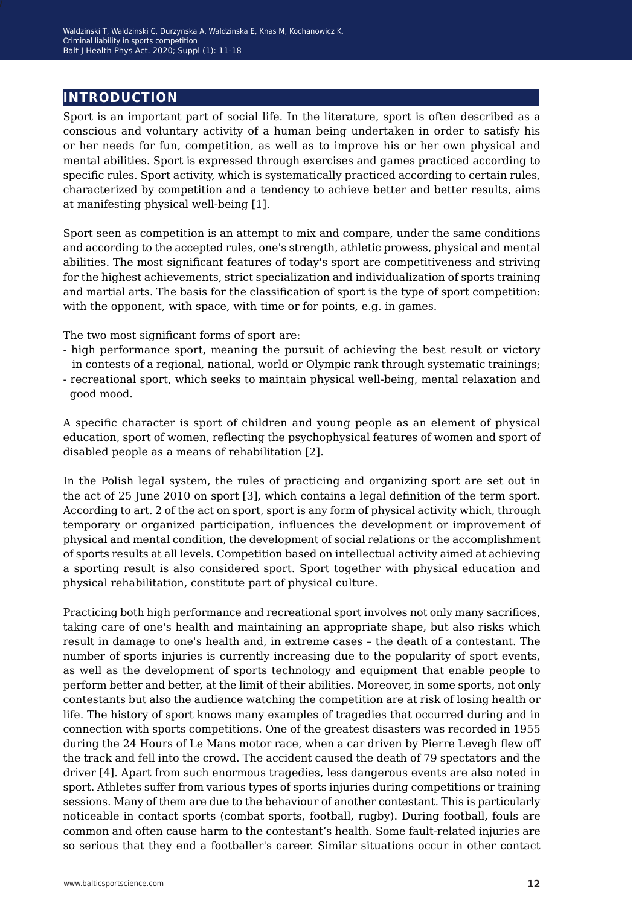## **introduction**

Sport is an important part of social life. In the literature, sport is often described as a conscious and voluntary activity of a human being undertaken in order to satisfy his or her needs for fun, competition, as well as to improve his or her own physical and mental abilities. Sport is expressed through exercises and games practiced according to specific rules. Sport activity, which is systematically practiced according to certain rules, characterized by competition and a tendency to achieve better and better results, aims at manifesting physical well-being [1].

Sport seen as competition is an attempt to mix and compare, under the same conditions and according to the accepted rules, one's strength, athletic prowess, physical and mental abilities. The most significant features of today's sport are competitiveness and striving for the highest achievements, strict specialization and individualization of sports training and martial arts. The basis for the classification of sport is the type of sport competition: with the opponent, with space, with time or for points, e.g. in games.

The two most significant forms of sport are:

- high performance sport, meaning the pursuit of achieving the best result or victory in contests of a regional, national, world or Olympic rank through systematic trainings;
- recreational sport, which seeks to maintain physical well-being, mental relaxation and good mood.

A specific character is sport of children and young people as an element of physical education, sport of women, reflecting the psychophysical features of women and sport of disabled people as a means of rehabilitation [2].

In the Polish legal system, the rules of practicing and organizing sport are set out in the act of 25 June 2010 on sport [3], which contains a legal definition of the term sport. According to art. 2 of the act on sport, sport is any form of physical activity which, through temporary or organized participation, influences the development or improvement of physical and mental condition, the development of social relations or the accomplishment of sports results at all levels. Competition based on intellectual activity aimed at achieving a sporting result is also considered sport. Sport together with physical education and physical rehabilitation, constitute part of physical culture.

Practicing both high performance and recreational sport involves not only many sacrifices, taking care of one's health and maintaining an appropriate shape, but also risks which result in damage to one's health and, in extreme cases – the death of a contestant. The number of sports injuries is currently increasing due to the popularity of sport events, as well as the development of sports technology and equipment that enable people to perform better and better, at the limit of their abilities. Moreover, in some sports, not only contestants but also the audience watching the competition are at risk of losing health or life. The history of sport knows many examples of tragedies that occurred during and in connection with sports competitions. One of the greatest disasters was recorded in 1955 during the 24 Hours of Le Mans motor race, when a car driven by Pierre Levegh flew off the track and fell into the crowd. The accident caused the death of 79 spectators and the driver [4]. Apart from such enormous tragedies, less dangerous events are also noted in sport. Athletes suffer from various types of sports injuries during competitions or training sessions. Many of them are due to the behaviour of another contestant. This is particularly noticeable in contact sports (combat sports, football, rugby). During football, fouls are common and often cause harm to the contestant's health. Some fault-related injuries are so serious that they end a footballer's career. Similar situations occur in other contact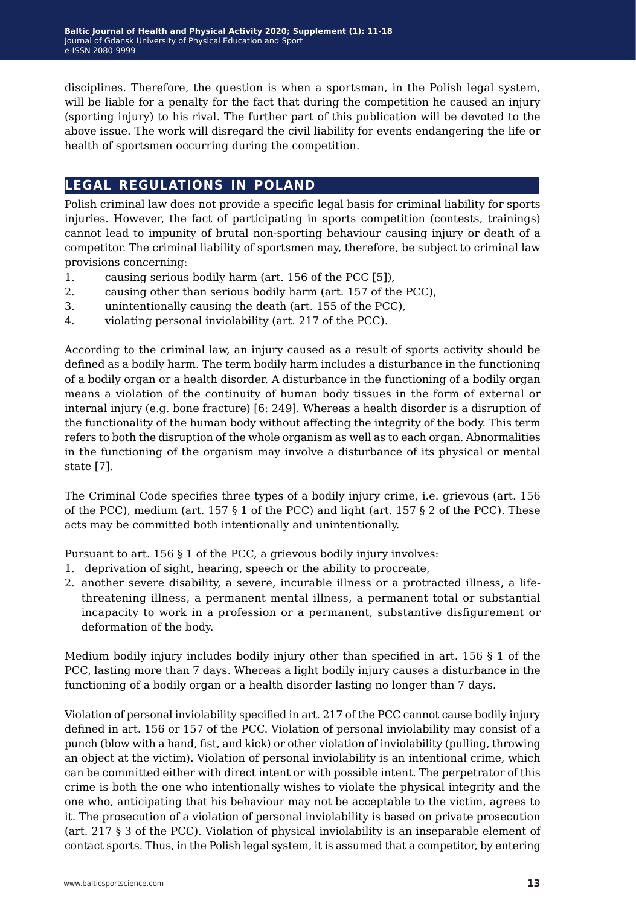disciplines. Therefore, the question is when a sportsman, in the Polish legal system, will be liable for a penalty for the fact that during the competition he caused an injury (sporting injury) to his rival. The further part of this publication will be devoted to the above issue. The work will disregard the civil liability for events endangering the life or health of sportsmen occurring during the competition.

## **legal regulations in poland**

Polish criminal law does not provide a specific legal basis for criminal liability for sports injuries. However, the fact of participating in sports competition (contests, trainings) cannot lead to impunity of brutal non-sporting behaviour causing injury or death of a competitor. The criminal liability of sportsmen may, therefore, be subject to criminal law provisions concerning:

- 1. causing serious bodily harm (art. 156 of the PCC [5]),
- 2. causing other than serious bodily harm (art. 157 of the PCC),
- 3. unintentionally causing the death (art. 155 of the PCC),
- 4. violating personal inviolability (art. 217 of the PCC).

According to the criminal law, an injury caused as a result of sports activity should be defined as a bodily harm. The term bodily harm includes a disturbance in the functioning of a bodily organ or a health disorder. A disturbance in the functioning of a bodily organ means a violation of the continuity of human body tissues in the form of external or internal injury (e.g. bone fracture) [6: 249]. Whereas a health disorder is a disruption of the functionality of the human body without affecting the integrity of the body. This term refers to both the disruption of the whole organism as well as to each organ. Abnormalities in the functioning of the organism may involve a disturbance of its physical or mental state [7].

The Criminal Code specifies three types of a bodily injury crime, i.e. grievous (art. 156 of the PCC), medium (art. 157  $\S$  1 of the PCC) and light (art. 157  $\S$  2 of the PCC). These acts may be committed both intentionally and unintentionally.

Pursuant to art. 156 § 1 of the PCC, a grievous bodily injury involves:

- 1. deprivation of sight, hearing, speech or the ability to procreate,
- 2. another severe disability, a severe, incurable illness or a protracted illness, a lifethreatening illness, a permanent mental illness, a permanent total or substantial incapacity to work in a profession or a permanent, substantive disfigurement or deformation of the body.

Medium bodily injury includes bodily injury other than specified in art. 156 § 1 of the PCC, lasting more than 7 days. Whereas a light bodily injury causes a disturbance in the functioning of a bodily organ or a health disorder lasting no longer than 7 days.

Violation of personal inviolability specified in art. 217 of the PCC cannot cause bodily injury defined in art. 156 or 157 of the PCC. Violation of personal inviolability may consist of a punch (blow with a hand, fist, and kick) or other violation of inviolability (pulling, throwing an object at the victim). Violation of personal inviolability is an intentional crime, which can be committed either with direct intent or with possible intent. The perpetrator of this crime is both the one who intentionally wishes to violate the physical integrity and the one who, anticipating that his behaviour may not be acceptable to the victim, agrees to it. The prosecution of a violation of personal inviolability is based on private prosecution (art. 217 § 3 of the PCC). Violation of physical inviolability is an inseparable element of contact sports. Thus, in the Polish legal system, it is assumed that a competitor, by entering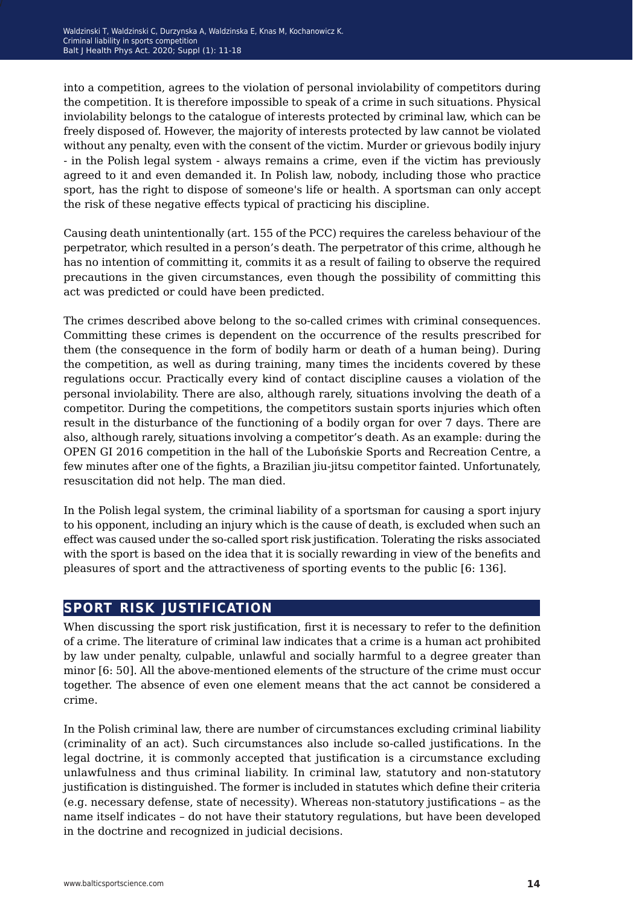into a competition, agrees to the violation of personal inviolability of competitors during the competition. It is therefore impossible to speak of a crime in such situations. Physical inviolability belongs to the catalogue of interests protected by criminal law, which can be freely disposed of. However, the majority of interests protected by law cannot be violated without any penalty, even with the consent of the victim. Murder or grievous bodily injury - in the Polish legal system - always remains a crime, even if the victim has previously agreed to it and even demanded it. In Polish law, nobody, including those who practice sport, has the right to dispose of someone's life or health. A sportsman can only accept the risk of these negative effects typical of practicing his discipline.

Causing death unintentionally (art. 155 of the PCC) requires the careless behaviour of the perpetrator, which resulted in a person's death. The perpetrator of this crime, although he has no intention of committing it, commits it as a result of failing to observe the required precautions in the given circumstances, even though the possibility of committing this act was predicted or could have been predicted.

The crimes described above belong to the so-called crimes with criminal consequences. Committing these crimes is dependent on the occurrence of the results prescribed for them (the consequence in the form of bodily harm or death of a human being). During the competition, as well as during training, many times the incidents covered by these regulations occur. Practically every kind of contact discipline causes a violation of the personal inviolability. There are also, although rarely, situations involving the death of a competitor. During the competitions, the competitors sustain sports injuries which often result in the disturbance of the functioning of a bodily organ for over 7 days. There are also, although rarely, situations involving a competitor's death. As an example: during the OPEN GI 2016 competition in the hall of the Lubońskie Sports and Recreation Centre, a few minutes after one of the fights, a Brazilian jiu-jitsu competitor fainted. Unfortunately, resuscitation did not help. The man died.

In the Polish legal system, the criminal liability of a sportsman for causing a sport injury to his opponent, including an injury which is the cause of death, is excluded when such an effect was caused under the so-called sport risk justification. Tolerating the risks associated with the sport is based on the idea that it is socially rewarding in view of the benefits and pleasures of sport and the attractiveness of sporting events to the public [6: 136].

## **sport risk justification**

When discussing the sport risk justification, first it is necessary to refer to the definition of a crime. The literature of criminal law indicates that a crime is a human act prohibited by law under penalty, culpable, unlawful and socially harmful to a degree greater than minor [6: 50]. All the above-mentioned elements of the structure of the crime must occur together. The absence of even one element means that the act cannot be considered a crime.

In the Polish criminal law, there are number of circumstances excluding criminal liability (criminality of an act). Such circumstances also include so-called justifications. In the legal doctrine, it is commonly accepted that justification is a circumstance excluding unlawfulness and thus criminal liability. In criminal law, statutory and non-statutory justification is distinguished. The former is included in statutes which define their criteria (e.g. necessary defense, state of necessity). Whereas non-statutory justifications – as the name itself indicates – do not have their statutory regulations, but have been developed in the doctrine and recognized in judicial decisions.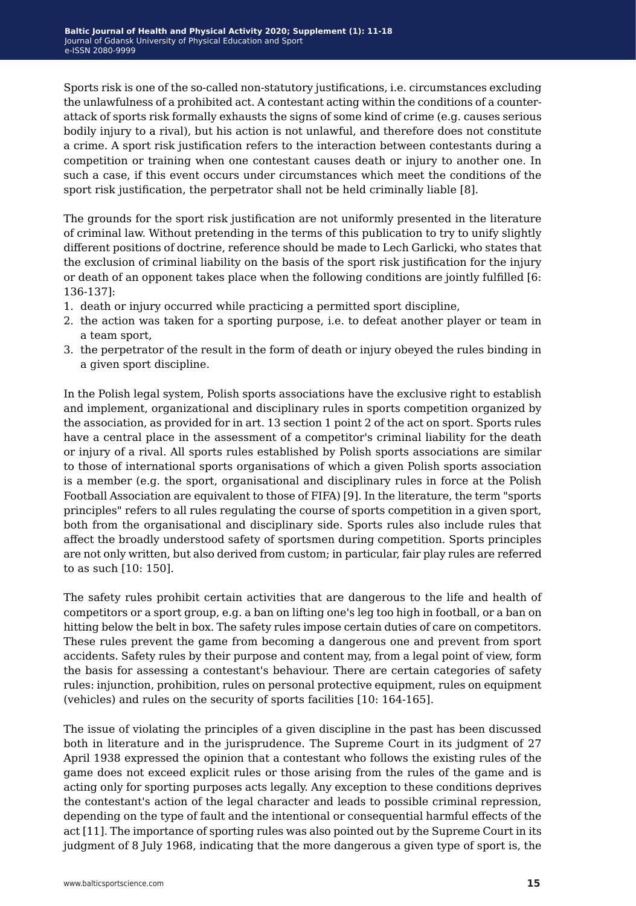Sports risk is one of the so-called non-statutory justifications, i.e. circumstances excluding the unlawfulness of a prohibited act. A contestant acting within the conditions of a counterattack of sports risk formally exhausts the signs of some kind of crime (e.g. causes serious bodily injury to a rival), but his action is not unlawful, and therefore does not constitute a crime. A sport risk justification refers to the interaction between contestants during a competition or training when one contestant causes death or injury to another one. In such a case, if this event occurs under circumstances which meet the conditions of the sport risk justification, the perpetrator shall not be held criminally liable [8].

The grounds for the sport risk justification are not uniformly presented in the literature of criminal law. Without pretending in the terms of this publication to try to unify slightly different positions of doctrine, reference should be made to Lech Garlicki, who states that the exclusion of criminal liability on the basis of the sport risk justification for the injury or death of an opponent takes place when the following conditions are jointly fulfilled [6: 136-137]:

- 1. death or injury occurred while practicing a permitted sport discipline,
- 2. the action was taken for a sporting purpose, i.e. to defeat another player or team in a team sport,
- 3. the perpetrator of the result in the form of death or injury obeyed the rules binding in a given sport discipline.

In the Polish legal system, Polish sports associations have the exclusive right to establish and implement, organizational and disciplinary rules in sports competition organized by the association, as provided for in art. 13 section 1 point 2 of the act on sport. Sports rules have a central place in the assessment of a competitor's criminal liability for the death or injury of a rival. All sports rules established by Polish sports associations are similar to those of international sports organisations of which a given Polish sports association is a member (e.g. the sport, organisational and disciplinary rules in force at the Polish Football Association are equivalent to those of FIFA) [9]. In the literature, the term "sports principles" refers to all rules regulating the course of sports competition in a given sport, both from the organisational and disciplinary side. Sports rules also include rules that affect the broadly understood safety of sportsmen during competition. Sports principles are not only written, but also derived from custom; in particular, fair play rules are referred to as such [10: 150].

The safety rules prohibit certain activities that are dangerous to the life and health of competitors or a sport group, e.g. a ban on lifting one's leg too high in football, or a ban on hitting below the belt in box. The safety rules impose certain duties of care on competitors. These rules prevent the game from becoming a dangerous one and prevent from sport accidents. Safety rules by their purpose and content may, from a legal point of view, form the basis for assessing a contestant's behaviour. There are certain categories of safety rules: injunction, prohibition, rules on personal protective equipment, rules on equipment (vehicles) and rules on the security of sports facilities [10: 164-165].

The issue of violating the principles of a given discipline in the past has been discussed both in literature and in the jurisprudence. The Supreme Court in its judgment of 27 April 1938 expressed the opinion that a contestant who follows the existing rules of the game does not exceed explicit rules or those arising from the rules of the game and is acting only for sporting purposes acts legally. Any exception to these conditions deprives the contestant's action of the legal character and leads to possible criminal repression, depending on the type of fault and the intentional or consequential harmful effects of the act [11]. The importance of sporting rules was also pointed out by the Supreme Court in its judgment of 8 July 1968, indicating that the more dangerous a given type of sport is, the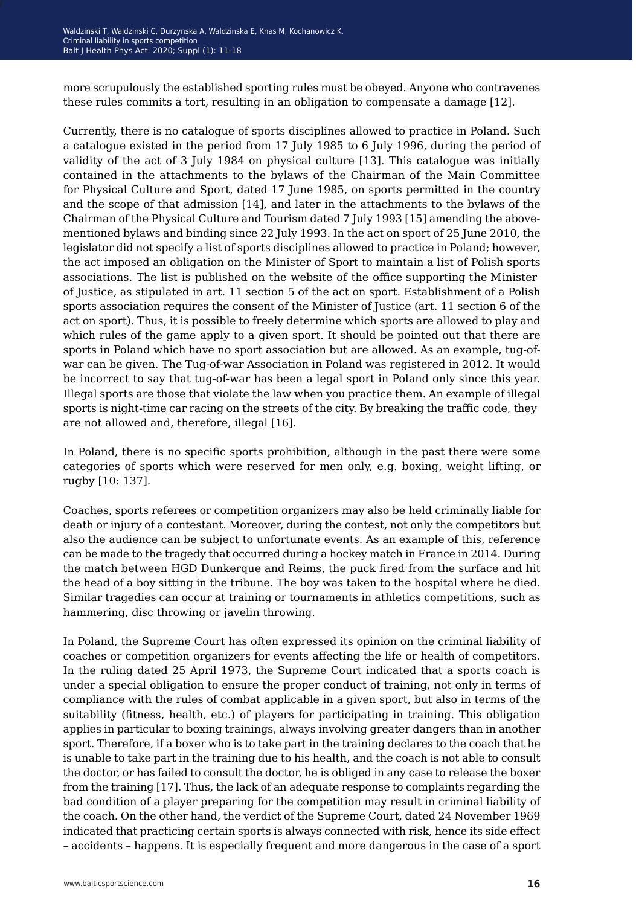more scrupulously the established sporting rules must be obeyed. Anyone who contravenes these rules commits a tort, resulting in an obligation to compensate a damage [12].

Currently, there is no catalogue of sports disciplines allowed to practice in Poland. Such a catalogue existed in the period from 17 July 1985 to 6 July 1996, during the period of validity of the act of 3 July 1984 on physical culture [13]. This catalogue was initially contained in the attachments to the bylaws of the Chairman of the Main Committee for Physical Culture and Sport, dated 17 June 1985, on sports permitted in the country and the scope of that admission [14], and later in the attachments to the bylaws of the Chairman of the Physical Culture and Tourism dated 7 July 1993 [15] amending the abovementioned bylaws and binding since 22 July 1993. In the act on sport of 25 June 2010, the legislator did not specify a list of sports disciplines allowed to practice in Poland; however, the act imposed an obligation on the Minister of Sport to maintain a list of Polish sports associations. The list is published on the website of the office supporting the Minister of Justice, as stipulated in art. 11 section 5 of the act on sport. Establishment of a Polish sports association requires the consent of the Minister of Justice (art. 11 section 6 of the act on sport). Thus, it is possible to freely determine which sports are allowed to play and which rules of the game apply to a given sport. It should be pointed out that there are sports in Poland which have no sport association but are allowed. As an example, tug-ofwar can be given. The Tug-of-war Association in Poland was registered in 2012. It would be incorrect to say that tug-of-war has been a legal sport in Poland only since this year. Illegal sports are those that violate the law when you practice them. An example of illegal sports is night-time car racing on the streets of the city. By breaking the traffic code, they are not allowed and, therefore, illegal [16].

In Poland, there is no specific sports prohibition, although in the past there were some categories of sports which were reserved for men only, e.g. boxing, weight lifting, or rugby [10: 137].

Coaches, sports referees or competition organizers may also be held criminally liable for death or injury of a contestant. Moreover, during the contest, not only the competitors but also the audience can be subject to unfortunate events. As an example of this, reference can be made to the tragedy that occurred during a hockey match in France in 2014. During the match between HGD Dunkerque and Reims, the puck fired from the surface and hit the head of a boy sitting in the tribune. The boy was taken to the hospital where he died. Similar tragedies can occur at training or tournaments in athletics competitions, such as hammering, disc throwing or javelin throwing.

In Poland, the Supreme Court has often expressed its opinion on the criminal liability of coaches or competition organizers for events affecting the life or health of competitors. In the ruling dated 25 April 1973, the Supreme Court indicated that a sports coach is under a special obligation to ensure the proper conduct of training, not only in terms of compliance with the rules of combat applicable in a given sport, but also in terms of the suitability (fitness, health, etc.) of players for participating in training. This obligation applies in particular to boxing trainings, always involving greater dangers than in another sport. Therefore, if a boxer who is to take part in the training declares to the coach that he is unable to take part in the training due to his health, and the coach is not able to consult the doctor, or has failed to consult the doctor, he is obliged in any case to release the boxer from the training [17]. Thus, the lack of an adequate response to complaints regarding the bad condition of a player preparing for the competition may result in criminal liability of the coach. On the other hand, the verdict of the Supreme Court, dated 24 November 1969 indicated that practicing certain sports is always connected with risk, hence its side effect – accidents – happens. It is especially frequent and more dangerous in the case of a sport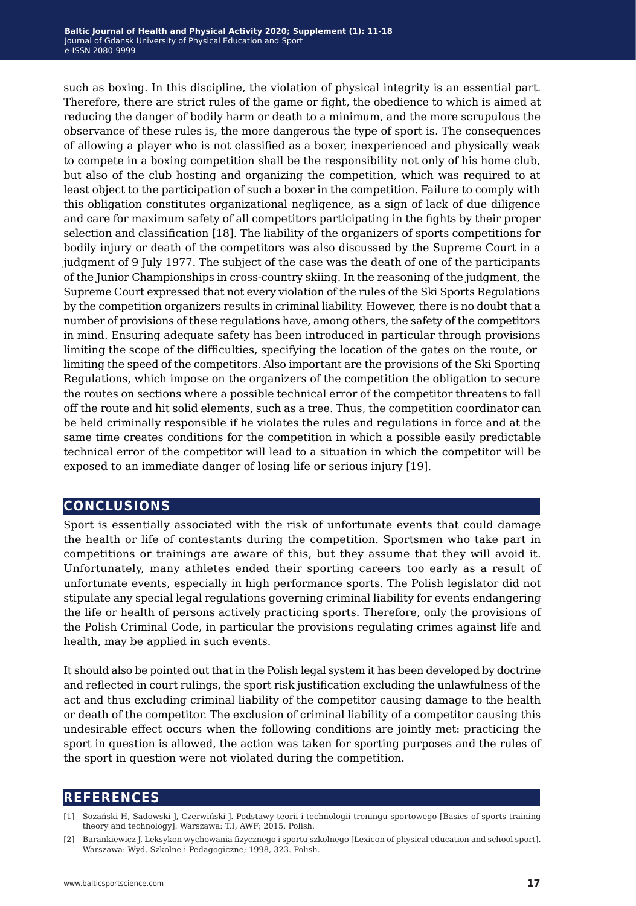such as boxing. In this discipline, the violation of physical integrity is an essential part. Therefore, there are strict rules of the game or fight, the obedience to which is aimed at reducing the danger of bodily harm or death to a minimum, and the more scrupulous the observance of these rules is, the more dangerous the type of sport is. The consequences of allowing a player who is not classified as a boxer, inexperienced and physically weak to compete in a boxing competition shall be the responsibility not only of his home club, but also of the club hosting and organizing the competition, which was required to at least object to the participation of such a boxer in the competition. Failure to comply with this obligation constitutes organizational negligence, as a sign of lack of due diligence and care for maximum safety of all competitors participating in the fights by their proper selection and classification [18]. The liability of the organizers of sports competitions for bodily injury or death of the competitors was also discussed by the Supreme Court in a judgment of 9 July 1977. The subject of the case was the death of one of the participants of the Junior Championships in cross-country skiing. In the reasoning of the judgment, the Supreme Court expressed that not every violation of the rules of the Ski Sports Regulations by the competition organizers results in criminal liability. However, there is no doubt that a number of provisions of these regulations have, among others, the safety of the competitors in mind. Ensuring adequate safety has been introduced in particular through provisions limiting the scope of the difficulties, specifying the location of the gates on the route, or limiting the speed of the competitors. Also important are the provisions of the Ski Sporting Regulations, which impose on the organizers of the competition the obligation to secure the routes on sections where a possible technical error of the competitor threatens to fall off the route and hit solid elements, such as a tree. Thus, the competition coordinator can be held criminally responsible if he violates the rules and regulations in force and at the same time creates conditions for the competition in which a possible easily predictable technical error of the competitor will lead to a situation in which the competitor will be exposed to an immediate danger of losing life or serious injury [19].

### **conclusions**

Sport is essentially associated with the risk of unfortunate events that could damage the health or life of contestants during the competition. Sportsmen who take part in competitions or trainings are aware of this, but they assume that they will avoid it. Unfortunately, many athletes ended their sporting careers too early as a result of unfortunate events, especially in high performance sports. The Polish legislator did not stipulate any special legal regulations governing criminal liability for events endangering the life or health of persons actively practicing sports. Therefore, only the provisions of the Polish Criminal Code, in particular the provisions regulating crimes against life and health, may be applied in such events.

It should also be pointed out that in the Polish legal system it has been developed by doctrine and reflected in court rulings, the sport risk justification excluding the unlawfulness of the act and thus excluding criminal liability of the competitor causing damage to the health or death of the competitor. The exclusion of criminal liability of a competitor causing this undesirable effect occurs when the following conditions are jointly met: practicing the sport in question is allowed, the action was taken for sporting purposes and the rules of the sport in question were not violated during the competition.

#### **references**

[1] Sozański H, Sadowski J, Czerwiński J. Podstawy teorii i technologii treningu sportowego [Basics of sports training theory and technology]. Warszawa: T.I, AWF; 2015. Polish.

<sup>[2]</sup> Barankiewicz J. Leksykon wychowania fizycznego i sportu szkolnego [Lexicon of physical education and school sport]. Warszawa: Wyd. Szkolne i Pedagogiczne; 1998, 323. Polish.